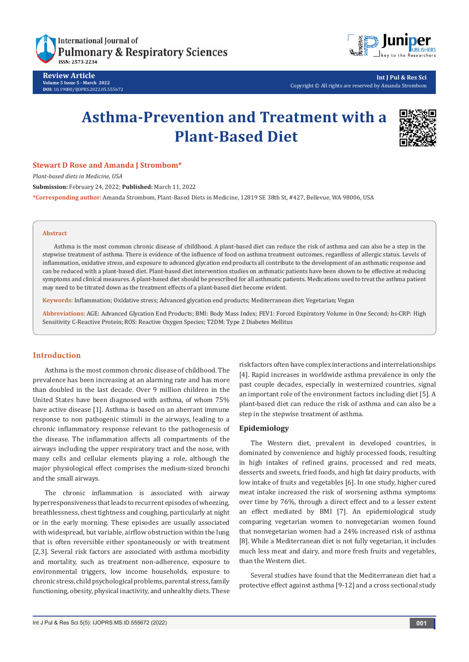

**Review Article Volume 5 Issue 5 - March 2022 DOI:** [10.19080/IJOPRS.2022.05.5556](http://dx.doi.org/10.19080/IJOPRS.2022.05.555672)72



**Int J Pul & Res Sci** Copyright © All rights are reserved by Amanda Strombom

# **Asthma-Prevention and Treatment with a Plant-Based Diet**



#### **Stewart D Rose and Amanda J Strombom\***

*Plant-based diets in Medicine, USA*

**Submission:** February 24, 2022; **Published:** March 11, 2022

**\*Corresponding author:** Amanda Strombom, Plant-Based Diets in Medicine, 12819 SE 38th St, #427, Bellevue, WA 98006, USA

#### **Abstract**

Asthma is the most common chronic disease of childhood. A plant-based diet can reduce the risk of asthma and can also be a step in the stepwise treatment of asthma. There is evidence of the influence of food on asthma treatment outcomes, regardless of allergic status. Levels of inflammation, oxidative stress, and exposure to advanced glycation end products all contribute to the development of an asthmatic response and can be reduced with a plant-based diet. Plant-based diet intervention studies on asthmatic patients have been shown to be effective at reducing symptoms and clinical measures. A plant-based diet should be prescribed for all asthmatic patients. Medications used to treat the asthma patient may need to be titrated down as the treatment effects of a plant-based diet become evident.

**Keywords:** Inflammation; Oxidative stress; Advanced glycation end products; Mediterranean diet; Vegetarian; Vegan

**Abbreviations:** AGE: Advanced Glycation End Products; BMI: Body Mass Index; FEV1: Forced Expiratory Volume in One Second; hs-CRP: High Sensitivity C-Reactive Protein; ROS: Reactive Oxygen Species; T2DM: Type 2 Diabetes Mellitus

#### **Introduction**

Asthma is the most common chronic disease of childhood. The prevalence has been increasing at an alarming rate and has more than doubled in the last decade. Over 9 million children in the United States have been diagnosed with asthma, of whom 75% have active disease [1]. Asthma is based on an aberrant immune response to non pathogenic stimuli in the airways, leading to a chronic inflammatory response relevant to the pathogenesis of the disease. The inflammation affects all compartments of the airways including the upper respiratory tract and the nose, with many cells and cellular elements playing a role, although the major physiological effect comprises the medium-sized bronchi and the small airways.

The chronic inflammation is associated with airway hyperresponsiveness that leads to recurrent episodes of wheezing, breathlessness, chest tightness and coughing, particularly at night or in the early morning. These episodes are usually associated with widespread, but variable, airflow obstruction within the lung that is often reversible either spontaneously or with treatment [2,3]. Several risk factors are associated with asthma morbidity and mortality, such as treatment non-adherence, exposure to environmental triggers, low income households, exposure to chronic stress, child psychological problems, parental stress, family functioning, obesity, physical inactivity, and unhealthy diets. These

risk factors often have complex interactions and interrelationships [4]. Rapid increases in worldwide asthma prevalence in only the past couple decades, especially in westernized countries, signal an important role of the environment factors including diet [5]. A plant-based diet can reduce the risk of asthma and can also be a step in the stepwise treatment of asthma.

# **Epidemiology**

The Western diet, prevalent in developed countries, is dominated by convenience and highly processed foods, resulting in high intakes of refined grains, processed and red meats, desserts and sweets, fried foods, and high fat dairy products, with low intake of fruits and vegetables [6]. In one study, higher cured meat intake increased the risk of worsening asthma symptoms over time by 76%, through a direct effect and to a lesser extent an effect mediated by BMI [7]. An epidemiological study comparing vegetarian women to nonvegetarian women found that nonvegetarian women had a 24% increased risk of asthma [8]. While a Mediterranean diet is not fully vegetarian, it includes much less meat and dairy, and more fresh fruits and vegetables, than the Western diet.

Several studies have found that the Mediterranean diet had a protective effect against asthma [9-12] and a cross sectional study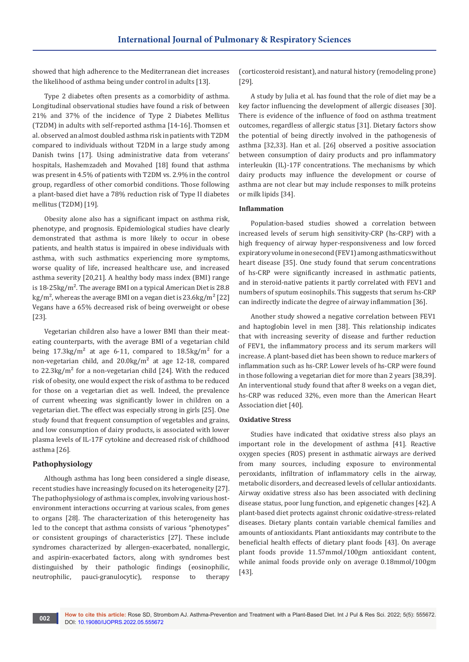showed that high adherence to the Mediterranean diet increases the likelihood of asthma being under control in adults [13].

Type 2 diabetes often presents as a comorbidity of asthma. Longitudinal observational studies have found a risk of between 21% and 37% of the incidence of Type 2 Diabetes Mellitus (T2DM) in adults with self-reported asthma [14-16]. Thomsen et al. observed an almost doubled asthma risk in patients with T2DM compared to individuals without T2DM in a large study among Danish twins [17]. Using administrative data from veterans' hospitals, Hashemzadeh and Movahed [18] found that asthma was present in 4.5% of patients with T2DM vs. 2.9% in the control group, regardless of other comorbid conditions. Those following a plant-based diet have a 78% reduction risk of Type II diabetes mellitus (T2DM) [19].

Obesity alone also has a significant impact on asthma risk, phenotype, and prognosis. Epidemiological studies have clearly demonstrated that asthma is more likely to occur in obese patients, and health status is impaired in obese individuals with asthma, with such asthmatics experiencing more symptoms, worse quality of life, increased healthcare use, and increased asthma severity [20,21]. A healthy body mass index (BMI) range is 18-25kg/m². The average BMI on a typical American Diet is 28.8  $kg/m<sup>2</sup>$ , whereas the average BMI on a vegan diet is 23.6kg/m<sup>2</sup> [22] Vegans have a 65% decreased risk of being overweight or obese [23].

Vegetarian children also have a lower BMI than their meateating counterparts, with the average BMI of a vegetarian child being  $17.3\text{kg/m}^2$  at age 6-11, compared to  $18.5\text{kg/m}^2$  for a non-vegetarian child, and  $20.0$ kg/m<sup>2</sup> at age 12-18, compared to  $22.3\text{kg/m}^2$  for a non-vegetarian child [24]. With the reduced risk of obesity, one would expect the risk of asthma to be reduced for those on a vegetarian diet as well. Indeed, the prevalence of current wheezing was significantly lower in children on a vegetarian diet. The effect was especially strong in girls [25]. One study found that frequent consumption of vegetables and grains, and low consumption of dairy products, is associated with lower plasma levels of IL-17F cytokine and decreased risk of childhood asthma [26].

# **Pathophysiology**

Although asthma has long been considered a single disease, recent studies have increasingly focused on its heterogeneity [27]. The pathophysiology of asthma is complex, involving various hostenvironment interactions occurring at various scales, from genes to organs [28]. The characterization of this heterogeneity has led to the concept that asthma consists of various "phenotypes" or consistent groupings of characteristics [27]. These include syndromes characterized by allergen-exacerbated, nonallergic, and aspirin-exacerbated factors, along with syndromes best distinguished by their pathologic findings (eosinophilic, neutrophilic, pauci-granulocytic), response to therapy

(corticosteroid resistant), and natural history (remodeling prone) [29].

A study by Julia et al. has found that the role of diet may be a key factor influencing the development of allergic diseases [30]. There is evidence of the influence of food on asthma treatment outcomes, regardless of allergic status [31]. Dietary factors show the potential of being directly involved in the pathogenesis of asthma [32,33]. Han et al. [26] observed a positive association between consumption of dairy products and pro inflammatory interleukin (IL)-17F concentrations. The mechanisms by which dairy products may influence the development or course of asthma are not clear but may include responses to milk proteins or milk lipids [34].

## **Inflammation**

Population-based studies showed a correlation between increased levels of serum high sensitivity-CRP (hs-CRP) with a high frequency of airway hyper-responsiveness and low forced expiratory volume in one second (FEV1) among asthmatics without heart disease [35]. One study found that serum concentrations of hs-CRP were significantly increased in asthmatic patients, and in steroid-native patients it partly correlated with FEV1 and numbers of sputum eosinophils. This suggests that serum hs-CRP can indirectly indicate the degree of airway inflammation [36].

Another study showed a negative correlation between FEV1 and haptoglobin level in men [38]. This relationship indicates that with increasing severity of disease and further reduction of FEV1, the inflammatory process and its serum markers will increase. A plant-based diet has been shown to reduce markers of inflammation such as hs-CRP. Lower levels of hs-CRP were found in those following a vegetarian diet for more than 2 years [38,39]. An interventional study found that after 8 weeks on a vegan diet, hs-CRP was reduced 32%, even more than the American Heart Association diet [40].

#### **Oxidative Stress**

Studies have indicated that oxidative stress also plays an important role in the development of asthma [41]. Reactive oxygen species (ROS) present in asthmatic airways are derived from many sources, including exposure to environmental peroxidants, infiltration of inflammatory cells in the airway, metabolic disorders, and decreased levels of cellular antioxidants. Airway oxidative stress also has been associated with declining disease status, poor lung function, and epigenetic changes [42]. A plant-based diet protects against chronic oxidative-stress-related diseases. Dietary plants contain variable chemical families and amounts of antioxidants. Plant antioxidants may contribute to the beneficial health effects of dietary plant foods [43]. On average plant foods provide 11.57mmol/100gm antioxidant content, while animal foods provide only on average 0.18mmol/100gm [43].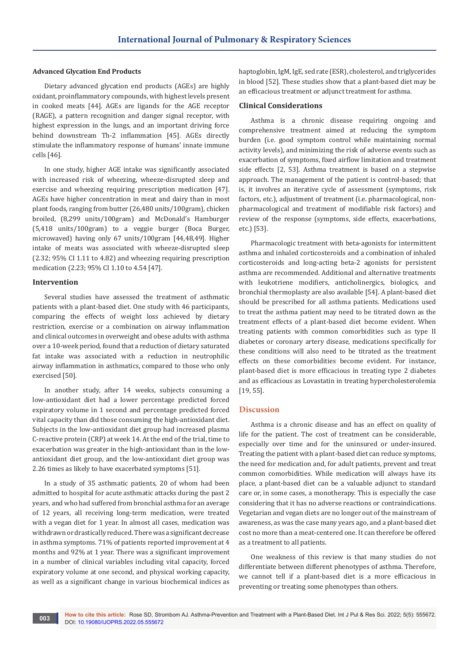# **Advanced Glycation End Products**

Dietary advanced glycation end products (AGEs) are highly oxidant, proinflammatory compounds, with highest levels present in cooked meats [44]. AGEs are ligands for the AGE receptor (RAGE), a pattern recognition and danger signal receptor, with highest expression in the lungs, and an important driving force behind downstream Th-2 inflammation [45]. AGEs directly stimulate the inflammatory response of humans' innate immune cells [46].

In one study, higher AGE intake was significantly associated with increased risk of wheezing, wheeze-disrupted sleep and exercise and wheezing requiring prescription medication [47]. AGEs have higher concentration in meat and dairy than in most plant foods, ranging from butter (26,480 units/100gram), chicken broiled, (8,299 units/100gram) and McDonald's Hamburger (5,418 units/100gram) to a veggie burger (Boca Burger, microwaved) having only 67 units/100gram [44,48,49]. Higher intake of meats was associated with wheeze-disrupted sleep (2.32; 95% CI 1.11 to 4.82) and wheezing requiring prescription medication (2.23; 95% CI 1.10 to 4.54 [47].

## **Intervention**

Several studies have assessed the treatment of asthmatic patients with a plant-based diet. One study with 46 participants, comparing the effects of weight loss achieved by dietary restriction, exercise or a combination on airway inflammation and clinical outcomes in overweight and obese adults with asthma over a 10-week period, found that a reduction of dietary saturated fat intake was associated with a reduction in neutrophilic airway inflammation in asthmatics, compared to those who only exercised [50].

In another study, after 14 weeks, subjects consuming a low-antioxidant diet had a lower percentage predicted forced expiratory volume in 1 second and percentage predicted forced vital capacity than did those consuming the high-antioxidant diet. Subjects in the low-antioxidant diet group had increased plasma C-reactive protein (CRP) at week 14. At the end of the trial, time to exacerbation was greater in the high-antioxidant than in the lowantioxidant diet group, and the low-antioxidant diet group was 2.26 times as likely to have exacerbated symptoms [51].

In a study of 35 asthmatic patients, 20 of whom had been admitted to hospital for acute asthmatic attacks during the past 2 years, and who had suffered from bronchial asthma for an average of 12 years, all receiving long-term medication, were treated with a vegan diet for 1 year. In almost all cases, medication was withdrawn or drastically reduced. There was a significant decrease in asthma symptoms. 71% of patients reported improvement at 4 months and 92% at 1 year. There was a significant improvement in a number of clinical variables including vital capacity, forced expiratory volume at one second, and physical working capacity, as well as a significant change in various biochemical indices as

haptoglobin, IgM, IgE, sed rate (ESR), cholesterol, and triglycerides in blood [52]. These studies show that a plant-based diet may be an efficacious treatment or adjunct treatment for asthma.

### **Clinical Considerations**

Asthma is a chronic disease requiring ongoing and comprehensive treatment aimed at reducing the symptom burden (i.e. good symptom control while maintaining normal activity levels), and minimizing the risk of adverse events such as exacerbation of symptoms, fixed airflow limitation and treatment side effects [2, 53]. Asthma treatment is based on a stepwise approach. The management of the patient is control-based; that is, it involves an iterative cycle of assessment (symptoms, risk factors, etc.), adjustment of treatment (i.e. pharmacological, nonpharmacological and treatment of modifiable risk factors) and review of the response (symptoms, side effects, exacerbations, etc.) [53].

Pharmacologic treatment with beta-agonists for intermittent asthma and inhaled corticosteroids and a combination of inhaled corticosteroids and long-acting beta-2 agonists for persistent asthma are recommended. Additional and alternative treatments with leukotriene modifiers, anticholinergics, biologics, and bronchial thermoplasty are also available [54]. A plant-based diet should be prescribed for all asthma patients. Medications used to treat the asthma patient may need to be titrated down as the treatment effects of a plant-based diet become evident. When treating patients with common comorbidities such as type II diabetes or coronary artery disease, medications specifically for these conditions will also need to be titrated as the treatment effects on these comorbidities become evident. For instance, plant-based diet is more efficacious in treating type 2 diabetes and as efficacious as Lovastatin in treating hypercholesterolemia [19, 55].

# **Discussion**

Asthma is a chronic disease and has an effect on quality of life for the patient. The cost of treatment can be considerable, especially over time and for the uninsured or under-insured. Treating the patient with a plant-based diet can reduce symptoms, the need for medication and, for adult patients, prevent and treat common comorbidities. While medication will always have its place, a plant-based diet can be a valuable adjunct to standard care or, in some cases, a monotherapy. This is especially the case considering that it has no adverse reactions or contraindications. Vegetarian and vegan diets are no longer out of the mainstream of awareness, as was the case many years ago, and a plant-based diet cost no more than a meat-centered one. It can therefore be offered as a treatment to all patients.

One weakness of this review is that many studies do not differentiate between different phenotypes of asthma. Therefore, we cannot tell if a plant-based diet is a more efficacious in preventing or treating some phenotypes than others.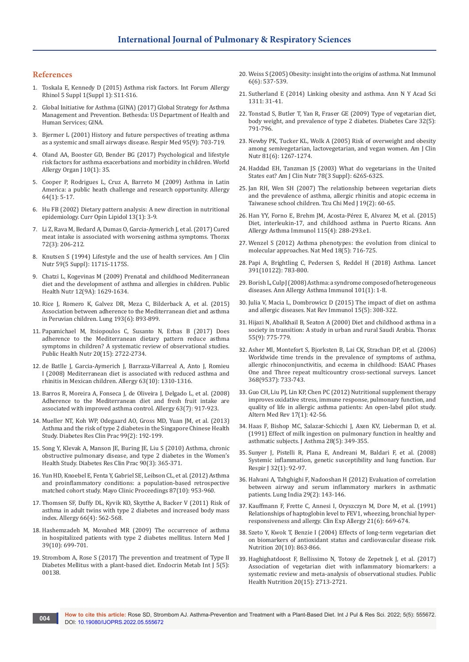## **References**

- 1. [Toskala E, Kennedy D \(2015\) Asthma risk factors. Int Forum Allergy](https://pubmed.ncbi.nlm.nih.gov/26335830/)  [Rhinol 5 Suppl 1\(Suppl 1\): S11-S16.](https://pubmed.ncbi.nlm.nih.gov/26335830/)
- 2. Global Initiative for Asthma (GINA) (2017) Global Strategy for Asthma Management and Prevention. Bethesda: US Department of Health and Human Services; GINA.
- 3. [Bjermer L \(2001\) History and future perspectives of treating asthma](https://pubmed.ncbi.nlm.nih.gov/11575891/)  [as a systemic and small airways disease. Respir Med 95\(9\): 703-719.](https://pubmed.ncbi.nlm.nih.gov/11575891/)
- 4. [Oland AA, Booster GD, Bender BG \(2017\) Psychological and lifestyle](https://pubmed.ncbi.nlm.nih.gov/29075362/)  [risk factors for asthma exacerbations and morbidity in children. World](https://pubmed.ncbi.nlm.nih.gov/29075362/)  [Allergy Organ J 10\(1\): 35.](https://pubmed.ncbi.nlm.nih.gov/29075362/)
- 5. [Cooper P, Rodrigues L, Cruz A, Barreto M \(2009\) Asthma in Latin](https://pubmed.ncbi.nlm.nih.gov/19076533/)  [America: a public heath challenge and research opportunity. Allergy](https://pubmed.ncbi.nlm.nih.gov/19076533/)  [64\(1\): 5-17.](https://pubmed.ncbi.nlm.nih.gov/19076533/)
- 6. [Hu FB \(2002\) Dietary pattern analysis: A new direction in nutritional](https://pubmed.ncbi.nlm.nih.gov/11790957/)  [epidemiology. Curr Opin Lipidol 13\(1\): 3-9.](https://pubmed.ncbi.nlm.nih.gov/11790957/)
- 7. [Li Z, Rava M, Bedard A, Dumas O, Garcia-Aymerich J, et al. \(2017\) Cured](https://pubmed.ncbi.nlm.nih.gov/27999171/)  [meat intake is associated with worsening asthma symptoms. Thorax](https://pubmed.ncbi.nlm.nih.gov/27999171/)  [72\(3\): 206-212.](https://pubmed.ncbi.nlm.nih.gov/27999171/)
- 8. [Knutsen S \(1994\) Lifestyle and the use of health services. Am J Clin](https://pubmed.ncbi.nlm.nih.gov/8172119/)  [Nutr 59\(5 Suppl\): 1171S-1175S.](https://pubmed.ncbi.nlm.nih.gov/8172119/)
- 9. [Chatzi L, Kogevinas M \(2009\) Prenatal and childhood Mediterranean](https://pubmed.ncbi.nlm.nih.gov/19689832/)  [diet and the development of asthma and allergies in children. Public](https://pubmed.ncbi.nlm.nih.gov/19689832/)  [Health Nutr 12\(9A\): 1629-1634.](https://pubmed.ncbi.nlm.nih.gov/19689832/)
- 10. [Rice J, Romero K, Galvez DR, Meza C, Bilderback A, et al. \(2015\)](https://pubmed.ncbi.nlm.nih.gov/26335393/)  [Association between adherence to the Mediterranean diet and asthma](https://pubmed.ncbi.nlm.nih.gov/26335393/)  [in Peruvian children. Lung 193\(6\): 893-899.](https://pubmed.ncbi.nlm.nih.gov/26335393/)
- 11. [Papamichael M, Itsiopoulos C, Susanto N, Erbas B \(2017\) Does](https://pubmed.ncbi.nlm.nih.gov/28803594/)  [adherence to the Mediterranean dietary pattern reduce asthma](https://pubmed.ncbi.nlm.nih.gov/28803594/)  [symptoms in children? A systematic review of observational studies.](https://pubmed.ncbi.nlm.nih.gov/28803594/)  [Public Health Nutr 20\(15\): 2722-2734.](https://pubmed.ncbi.nlm.nih.gov/28803594/)
- 12. [de Batlle J, Garcia-Aymerich J, Barraza-Villarreal A, Anto J, Romieu](https://pubmed.ncbi.nlm.nih.gov/18782109/)  [I \(2008\) Mediterranean diet is associated with reduced asthma and](https://pubmed.ncbi.nlm.nih.gov/18782109/)  [rhinitis in Mexican children. Allergy 63\(10\): 1310-1316.](https://pubmed.ncbi.nlm.nih.gov/18782109/)
- 13. [Barros R, Moreira A, Fonseca J, de Oliveira J, Delgado L, et al. \(2008\)](https://pubmed.ncbi.nlm.nih.gov/18588559/)  [Adherence to the Mediterranean diet and fresh fruit intake are](https://pubmed.ncbi.nlm.nih.gov/18588559/)  [associated with improved asthma control. Allergy 63\(7\): 917-923.](https://pubmed.ncbi.nlm.nih.gov/18588559/)
- 14. [Mueller NT, Koh WP, Odegaard AO, Gross MD, Yuan JM, et al. \(2013\)](https://pubmed.ncbi.nlm.nih.gov/23260853/)  [Asthma and the risk of type 2 diabetes in the Singapore Chinese Health](https://pubmed.ncbi.nlm.nih.gov/23260853/)  [Study. Diabetes Res Clin Prac 99\(2\): 192-199.](https://pubmed.ncbi.nlm.nih.gov/23260853/)
- 15. [Song Y, Klevak A, Manson JE, Buring JE, Liu S \(2010\) Asthma, chronic](https://pubmed.ncbi.nlm.nih.gov/20926152/)  [obstructive pulmonary disease, and type 2 diabetes in the Women's](https://pubmed.ncbi.nlm.nih.gov/20926152/)  [Health Study. Diabetes Res Clin Prac 90\(3\): 365-371.](https://pubmed.ncbi.nlm.nih.gov/20926152/)
- 16. [Yun HD, Knoebel E, Fenta Y, Gabriel SE, Leibson CL, et al. \(2012\) Asthma](https://pubmed.ncbi.nlm.nih.gov/22980164/)  [and proinflammatory conditions: a population-based retrospective](https://pubmed.ncbi.nlm.nih.gov/22980164/)  [matched cohort study. Mayo Clinic Proceedings 87\(10\): 953-960.](https://pubmed.ncbi.nlm.nih.gov/22980164/)
- 17. [Thomsen SF, Duffy DL, Kyvik KO, Skytthe A, Backer V \(2011\) Risk of](https://pubmed.ncbi.nlm.nih.gov/21083567/)  [asthma in adult twins with type 2 diabetes and increased body mass](https://pubmed.ncbi.nlm.nih.gov/21083567/)  [index. Allergy 66\(4\): 562-568.](https://pubmed.ncbi.nlm.nih.gov/21083567/)
- 18. [Hashemzadeh M, Movahed MR \(2009\) The occurrence of asthma](https://pubmed.ncbi.nlm.nih.gov/19849760/)  [in hospitalized patients with type 2 diabetes mellitus. Intern Med J](https://pubmed.ncbi.nlm.nih.gov/19849760/)  [39\(10\): 699-701.](https://pubmed.ncbi.nlm.nih.gov/19849760/)
- 19. [Strombom A, Rose S \(2017\) The prevention and treatment of Type II](https://medcraveonline.com/EMIJ/the-prevention-and-treatment-of-type-2-diabetes-mellitus-with-a-plant-based-diet.html)  [Diabetes Mellitus with a plant-based diet. Endocrin Metab Int J 5\(5\):](https://medcraveonline.com/EMIJ/the-prevention-and-treatment-of-type-2-diabetes-mellitus-with-a-plant-based-diet.html)  [00138.](https://medcraveonline.com/EMIJ/the-prevention-and-treatment-of-type-2-diabetes-mellitus-with-a-plant-based-diet.html)
- 20. [Weiss S \(2005\) Obesity: insight into the origins of asthma. Nat Immunol](https://pubmed.ncbi.nlm.nih.gov/15908930/)  [6\(6\): 537-539.](https://pubmed.ncbi.nlm.nih.gov/15908930/)
- 21. [Sutherland E \(2014\) Linking obesity and asthma. Ann N Y Acad Sci](https://pubmed.ncbi.nlm.nih.gov/24517401/)  [1311: 31-41.](https://pubmed.ncbi.nlm.nih.gov/24517401/)
- 22. [Tonstad S, Butler T, Yan R, Fraser GE \(2009\) Type of vegetarian diet,](https://pubmed.ncbi.nlm.nih.gov/19351712/)  [body weight, and prevalence of type 2 diabetes. Diabetes Care 32\(5\):](https://pubmed.ncbi.nlm.nih.gov/19351712/)  [791-796.](https://pubmed.ncbi.nlm.nih.gov/19351712/)
- 23. [Newby PK, Tucker KL, Wolk A \(2005\) Risk of overweight and obesity](https://pubmed.ncbi.nlm.nih.gov/15941875/)  [among semivegetarian, lactovegetarian, and vegan women. Am J Clin](https://pubmed.ncbi.nlm.nih.gov/15941875/)  [Nutr 81\(6\): 1267-1274.](https://pubmed.ncbi.nlm.nih.gov/15941875/)
- 24. [Haddad EH, Tanzman JS \(2003\) What do vegetarians in the United](https://pubmed.ncbi.nlm.nih.gov/12936957/)  [States eat? Am J Clin Nutr 78\(3 Suppl\): 626S-632S.](https://pubmed.ncbi.nlm.nih.gov/12936957/)
- 25. Jan RH, Wen SH (2007) The relationship between vegetarian diets and the prevalence of asthma, allergic rhinitis and atopic eczema in Taiwanese school children. Tzu Chi Med J 19(2): 60-65.
- 26. [Han YY, Forno E, Brehm JM, Acosta-Pérez E, Alvarez M, et al. \(2015\)](https://pubmed.ncbi.nlm.nih.gov/26319606/)  [Diet, interleukin-17, and childhood asthma in Puerto Ricans. Ann](https://pubmed.ncbi.nlm.nih.gov/26319606/)  [Allergy Asthma Immunol 115\(4\): 288-293.e1.](https://pubmed.ncbi.nlm.nih.gov/26319606/)
- 27. [Wenzel S \(2012\) Asthma phenotypes: the evolution from clinical to](https://pubmed.ncbi.nlm.nih.gov/22561835/)  [molecular approaches. Nat Med 18\(5\): 716-725.](https://pubmed.ncbi.nlm.nih.gov/22561835/)
- 28. [Papi A, Brightling C, Pedersen S, Reddel H \(2018\) Asthma. Lancet](https://pubmed.ncbi.nlm.nih.gov/29273246/)  [391\(10122\): 783-800.](https://pubmed.ncbi.nlm.nih.gov/29273246/)
- 29. [Borish L, Culp J \(2008\) Asthma: a syndrome composed of heterogeneous](https://pubmed.ncbi.nlm.nih.gov/18681077/)  [diseases. Ann Allergy Asthma Immunol 101\(1\): 1-8.](https://pubmed.ncbi.nlm.nih.gov/18681077/)
- 30. [Julia V, Macia L, Dombrowicz D \(2015\) The impact of diet on asthma](https://pubmed.ncbi.nlm.nih.gov/25907459/)  [and allergic diseases. Nat Rev Immunol 15\(5\): 308-322.](https://pubmed.ncbi.nlm.nih.gov/25907459/)
- 31. [Hijazi N, Abalkhail B, Seaton A \(2000\) Diet and childhood asthma in a](https://pubmed.ncbi.nlm.nih.gov/10950897/)  [society in transition: A study in urban and rural Saudi Arabia. Thorax](https://pubmed.ncbi.nlm.nih.gov/10950897/)  [55\(9\): 775-779.](https://pubmed.ncbi.nlm.nih.gov/10950897/)
- 32. [Asher MI, Montefort S, Bjorksten B, Lai CK, Strachan DP, et al. \(2006\)](https://pubmed.ncbi.nlm.nih.gov/16935684/)  [Worldwide time trends in the prevalence of symptoms of asthma,](https://pubmed.ncbi.nlm.nih.gov/16935684/)  [allergic rhinoconjunctivitis, and eczema in childhood: ISAAC Phases](https://pubmed.ncbi.nlm.nih.gov/16935684/)  [One and Three repeat multicountry cross-sectional surveys. Lancet](https://pubmed.ncbi.nlm.nih.gov/16935684/)  [368\(9537\): 733-743.](https://pubmed.ncbi.nlm.nih.gov/16935684/)
- 33. [Guo CH, Liu PJ, Lin KP, Chen PC \(2012\) Nutritional supplement therapy](https://pubmed.ncbi.nlm.nih.gov/22502622/)  [improves oxidative stress, immune response, pulmonary function, and](https://pubmed.ncbi.nlm.nih.gov/22502622/)  [quality of life in allergic asthma patients: An open-label pilot study.](https://pubmed.ncbi.nlm.nih.gov/22502622/)  [Altern Med Rev 17\(1\): 42-56.](https://pubmed.ncbi.nlm.nih.gov/22502622/)
- 34. [Haas F, Bishop MC, Salazar-Schicchi J, Axen KV, Lieberman D, et al.](https://pubmed.ncbi.nlm.nih.gov/1938769/)  [\(1991\) Effect of milk ingestion on pulmonary function in healthy and](https://pubmed.ncbi.nlm.nih.gov/1938769/)  [asthmatic subjects. J Asthma 28\(5\): 349-355.](https://pubmed.ncbi.nlm.nih.gov/1938769/)
- 35. [Sunyer J, Pistelli R, Plana E, Andreani M, Baldari F, et al. \(2008\)](https://pubmed.ncbi.nlm.nih.gov/18385179/)  [Systemic inflammation, genetic susceptibility and lung function. Eur](https://pubmed.ncbi.nlm.nih.gov/18385179/)  [Respir J 32\(1\): 92-97.](https://pubmed.ncbi.nlm.nih.gov/18385179/)
- 36. [Halvani A, Tahghighi F, Nadooshan H \(2012\) Evaluation of correlation](https://pubmed.ncbi.nlm.nih.gov/22628929/)  [between airway and serum inflammatory markers in asthmatic](https://pubmed.ncbi.nlm.nih.gov/22628929/)  [patients. Lung India 29\(2\): 143-146.](https://pubmed.ncbi.nlm.nih.gov/22628929/)
- 37. [Kauffmann F, Frette C, Annesi I, Oryszczyn M, Dore M, et al. \(1991\)](https://pubmed.ncbi.nlm.nih.gov/1777829/)  [Relationships of haptoglobin level to FEV1, wheezing, bronchial hyper](https://pubmed.ncbi.nlm.nih.gov/1777829/)[responsiveness and allergy. Clin Exp Allergy 21\(6\): 669-674.](https://pubmed.ncbi.nlm.nih.gov/1777829/)
- 38. [Szeto Y, Kwok T, Benzie I \(2004\) Effects of long-term vegetarian diet](https://pubmed.ncbi.nlm.nih.gov/15474873/)  [on biomarkers of antioxidant status and cardiovascular disease risk.](https://pubmed.ncbi.nlm.nih.gov/15474873/)  [Nutrition 20\(10\): 863-866.](https://pubmed.ncbi.nlm.nih.gov/15474873/)
- 39. [Haghighatdoost F, Bellissimo N, Totosy de Zepetnek J, et al. \(2017\)](https://pubmed.ncbi.nlm.nih.gov/28836492/)  [Association of vegetarian diet with inflammatory biomarkers: a](https://pubmed.ncbi.nlm.nih.gov/28836492/)  [systematic review and meta-analysis of observational studies. Public](https://pubmed.ncbi.nlm.nih.gov/28836492/)  [Health Nutrition 20\(15\): 2713-2721.](https://pubmed.ncbi.nlm.nih.gov/28836492/)